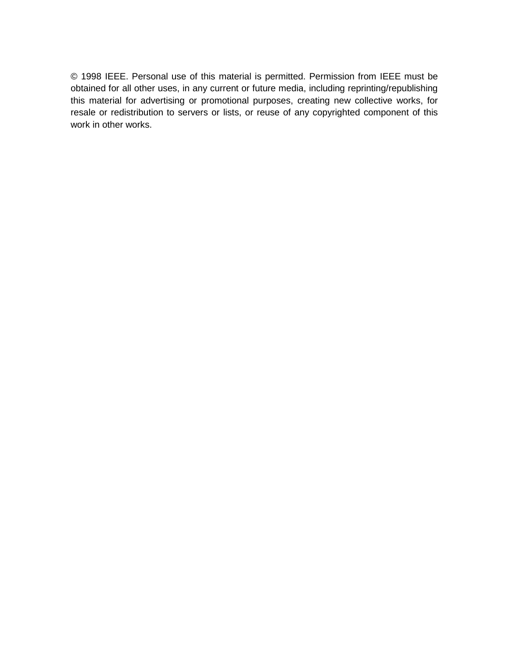© 1998 IEEE. Personal use of this material is permitted. Permission from IEEE must be obtained for all other uses, in any current or future media, including reprinting/republishing this material for advertising or promotional purposes, creating new collective works, for resale or redistribution to servers or lists, or reuse of any copyrighted component of this work in other works.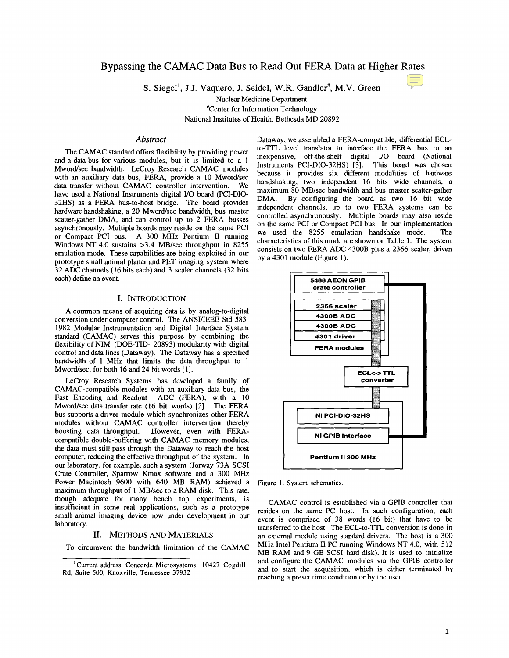# Bypassing the **CAMAC** Data Bus to Read Out FERA Data at Higher Rates

**S.** Siegel', **J.J.** Vaquero, **J.** Seidel, W.R. Gandler', M.V. Green

Nuclear Medicine Department

'Center for Information Technology

National Institutes of Health, Bethesda MD 20892

### *Abstract*

The CAMAC standard offers flexibility by providing power and a data bus for various modules, but it is limited to a 1 Mword/sec bandwidth. LeCroy Research CAMAC modules with an auxiliary data bus, FERA, provide a 10 Mword/sec data transfer without CAMAC controller intervention. We have used a National Instruments digital 1/0 board (PCI-DIO-32HS) as a **FERA** bus-to-host bridge. The board provides hardware handshaking, a 20 Mword/sec bandwidth, bus master scatter-gather DMA, and can control up to 2 FERA busses asynchronously. Multiple boards may reside on the same PCI or Compact PCI bus. A 300 MHz Pentium I1 running Windows NT 4.0 sustains >3.4 MB/sec throughput in 8255 emulation mode. These capabilities are being exploited in our prototype small animal planar and PET imaging system where 32 ADC channels (16 bits each) and 3 scaler channels (32 bits each) define an event.

### I. INTRODUCTION

A common means of acquiring data is by analog-to-digital conversion under computer control. The ANSUIEEE Std 583- 1982 Modular Instrumentation and Digital Interface System standard (CAMAC) serves this purpose by combining the flexibility of NIM (DOE-TID- 20893) modularity with digital control and data lines (Dataway). The Dataway has a specified bandwidth of 1 MHz that limits the data throughput to 1 Mword/sec, for both 16 and 24 bit words [1].

LeCroy Research Systems has developed a family of CAMAC-compatible modules with an auxiliary data bus, the Fast Encoding and Readout ADC (FERA), with a 10 Mword/sec data transfer rate (16 bit words) [2]. The FERA bus supports a driver module which synchronizes other FERA modules without CAMAC controller intervention thereby<br>boosting data throughput. However, even with FERA-However, even with FERAcompatible double-buffering with CAMAC memory modules, the data must still pass through the Dataway to reach the host computer, reducing the effective throughput of the system. In our laboratory, for example, such a system (Jorway 73A SCSI Crate Controller, Sparrow Kmax software and a 300 MHz Power Macintosh 9600 with 640 MB RAM) achieved a maximum throughput of 1 MB/sec to a RAM disk. This rate, though **adequate** for many bench top experiments, is insufficient in some real applications, such as a prototype small animal imaging device now under development in our laboratory.

### **11.** METHODS AND MATERIALS

To circumvent the bandwidth limitation of the CAMAC

Dataway, we assembled a FERA-compatible, differential ECLto-TTL level translator to interface the FERA bus to an inexpensive, off-the-shelf digital I/O board (National Instruments PCI-DIO-32HS) [3]. This board was chosen because it provides six different modalities of hadware handshaking, two independent 16 bits wide channels, a maximum 80 MB/sec bandwidth and bus master scatter-gather DMA. By configuring the board as two 16 bit wide By configuring the board as two 16 bit wide independent channels, up to two FERA systems can be controlled asynchronously. Multiple boards may also reside on the same PCI or Compact PCI bus. In our implementation we used the 8255 emulation handshake mode. The we used the 8255 emulation handshake mode. characteristics of this mode are shown on Table 1. The system consists on two FERA ADC 4300B plus a 2366 scaler, driven by a 4301 module (Figure 1).



Figure 1. System schematics.

CAMAC control is established via a GPIB controller that resides on the same PC host. In such configuration, each event is comprised of 38 words (16 bit) that have to be transferred to the host. The ECL-to-TTL conversion is done in an external module using standard drivers. The host is a 300 MHz Intel Pentium **I1** PC running Windows NT 4.0, with 512 MB RAM and 9 GB SCSI hard disk). It is used to initialize and configure the CAMAC modules via the GPIB controller and to start the acquisition, which is either terminated by reaching a preset time condition or by the user.

<sup>&#</sup>x27; Current address: Concorde Microsystems, 10427 Cogdill Rd, Suite 500, Knoxville, Tennessee 37932